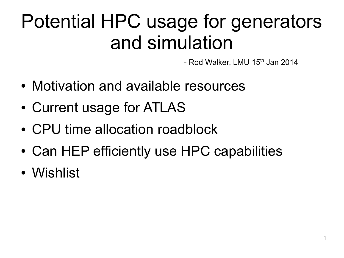### Potential HPC usage for generators and simulation

- Rod Walker, LMU  $15<sup>th</sup>$  Jan 2014

1

- Motivation and available resources
- Current usage for ATLAS
- CPU time allocation roadblock
- Can HEP efficiently use HPC capabilities
- Wishlist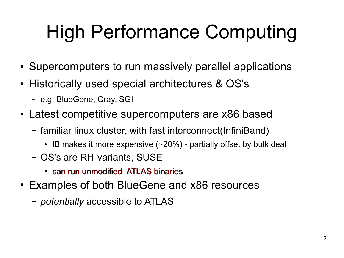## High Performance Computing

- Supercomputers to run massively parallel applications
- Historically used special architectures & OS's
	- e.g. BlueGene, Cray, SGI
- Latest competitive supercomputers are x86 based
	- familiar linux cluster, with fast interconnect(InfiniBand)
		- IB makes it more expensive  $(-20%)$  partially offset by bulk deal
	- OS's are RH-variants, SUSE
		- can run unmodified ATLAS binaries
- Examples of both BlueGene and x86 resources
	- *potentially* accessible to ATLAS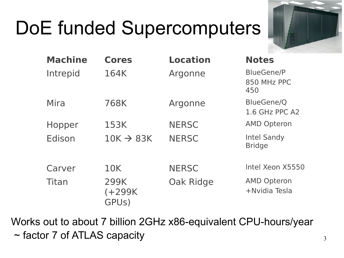## DoE funded Supercomputers



| <b>Machine</b> | <b>Cores</b>               | <b>Location</b> | <b>Notes</b>                            |
|----------------|----------------------------|-----------------|-----------------------------------------|
| Intrepid       | 164K                       | Argonne         | <b>BlueGene/P</b><br>850 MHz PPC<br>450 |
| Mira           | 768K                       | Argonne         | BlueGene/Q<br>1.6 GHz PPC A2            |
| Hopper         | 153K                       | <b>NERSC</b>    | <b>AMD Opteron</b>                      |
| Edison         | $10K \rightarrow 83K$      | <b>NERSC</b>    | <b>Intel Sandy</b><br><b>Bridge</b>     |
| Carver         | 10K                        | <b>NERSC</b>    | Intel Xeon X5550                        |
| Titan          | 299K<br>$(+299K)$<br>GPUs) | Oak Ridge       | <b>AMD Opteron</b><br>+Nvidia Tesla     |

Works out to about 7 billion 2GHz x86-equivalent CPU-hours/year ~ factor 7 of ATLAS capacity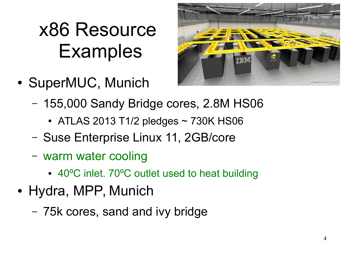### x86 Resource **Examples**

• SuperMUC, Munich



- 155,000 Sandy Bridge cores, 2.8M HS06
	- ATLAS 2013 T1/2 pledges  $\sim$  730K HS06
- Suse Enterprise Linux 11, 2GB/core
- warm water cooling
	- 40°C inlet. 70°C outlet used to heat building
- Hydra, MPP, Munich
	- 75k cores, sand and ivy bridge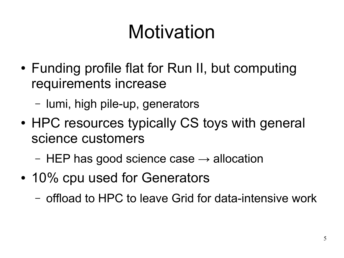## Motivation

- Funding profile flat for Run II, but computing requirements increase
	- lumi, high pile-up, generators
- HPC resources typically CS toys with general science customers
	- HEP has good science case  $\rightarrow$  allocation
- 10% cpu used for Generators
	- offload to HPC to leave Grid for data-intensive work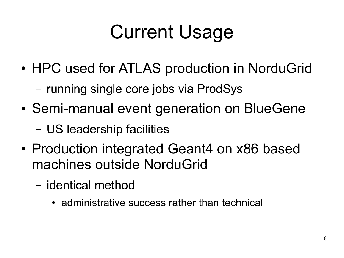## Current Usage

- HPC used for ATLAS production in NorduGrid
	- running single core jobs via ProdSys
- Semi-manual event generation on BlueGene
	- US leadership facilities
- Production integrated Geant4 on x86 based machines outside NorduGrid
	- identical method
		- administrative success rather than technical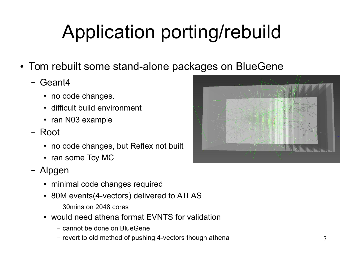# Application porting/rebuild

- Tom rebuilt some stand-alone packages on BlueGene
	- Geant4
		- no code changes.
		- difficult build environment
		- ran N03 example
	- Root
		- no code changes, but Reflex not built
		- ran some Toy MC
	- Alpgen
		- minimal code changes required
		- 80M events(4-vectors) delivered to ATLAS
			- 30mins on 2048 cores
		- would need athena format EVNTS for validation
			- cannot be done on BlueGene
			- revert to old method of pushing 4-vectors though athena

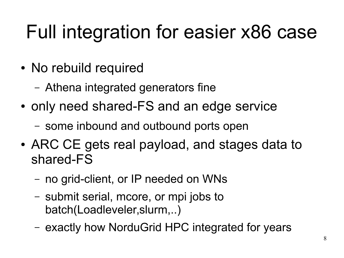### Full integration for easier x86 case

- No rebuild required
	- Athena integrated generators fine
- only need shared-FS and an edge service
	- some inbound and outbound ports open
- ARC CE gets real payload, and stages data to shared-FS
	- no grid-client, or IP needed on WNs
	- submit serial, mcore, or mpi jobs to batch(Loadleveler,slurm,..)
	- exactly how NorduGrid HPC integrated for years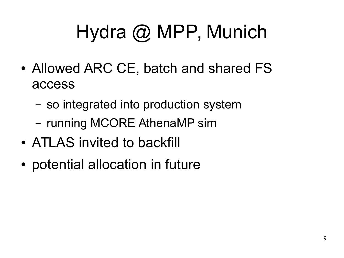# Hydra @ MPP, Munich

- Allowed ARC CE, batch and shared FS access
	- so integrated into production system
	- running MCORE AthenaMP sim
- ATLAS invited to backfill
- potential allocation in future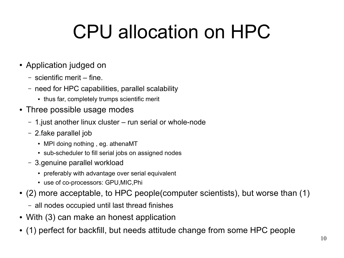## CPU allocation on HPC

#### • Application judged on

- scientific merit fine.
- need for HPC capabilities, parallel scalability
	- thus far, completely trumps scientific merit
- Three possible usage modes
	- 1.just another linux cluster run serial or whole-node
	- 2.fake parallel job
		- MPI doing nothing, eg. athenaMT
		- sub-scheduler to fill serial jobs on assigned nodes
	- 3.genuine parallel workload
		- preferably with advantage over serial equivalent
		- use of co-processors: GPU, MIC, Phi
- (2) more acceptable, to HPC people(computer scientists), but worse than (1)
	- all nodes occupied until last thread finishes
- With (3) can make an honest application
- (1) perfect for backfill, but needs attitude change from some HPC people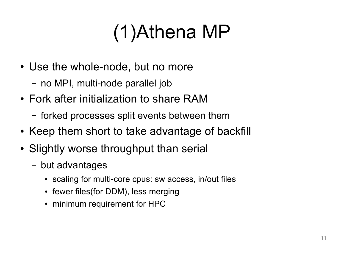## (1)Athena MP

- Use the whole-node, but no more
	- no MPI, multi-node parallel job
- Fork after initialization to share RAM
	- forked processes split events between them
- Keep them short to take advantage of backfill
- Slightly worse throughput than serial
	- but advantages
		- scaling for multi-core cpus: sw access, in/out files
		- fewer files(for DDM), less merging
		- minimum requirement for HPC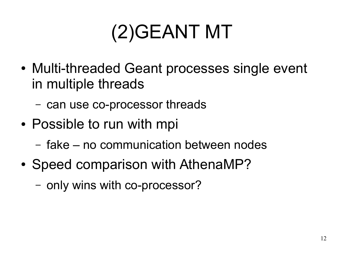## (2)GEANT MT

- Multi-threaded Geant processes single event in multiple threads
	- can use co-processor threads
- Possible to run with mpi
	- fake no communication between nodes
- Speed comparison with AthenaMP?
	- only wins with co-processor?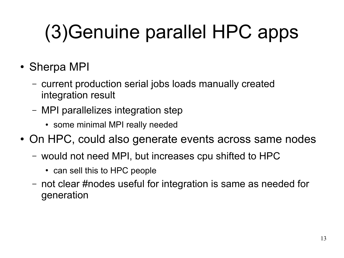# (3)Genuine parallel HPC apps

- Sherpa MPI
	- current production serial jobs loads manually created integration result
	- MPI parallelizes integration step
		- some minimal MPI really needed
- On HPC, could also generate events across same nodes
	- would not need MPI, but increases cpu shifted to HPC
		- can sell this to HPC people
	- not clear #nodes useful for integration is same as needed for generation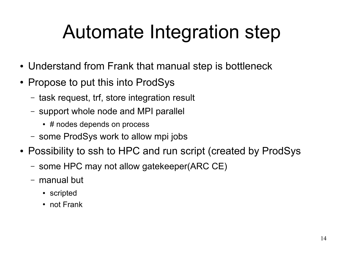### Automate Integration step

- Understand from Frank that manual step is bottleneck
- Propose to put this into ProdSys
	- task request, trf, store integration result
	- support whole node and MPI parallel
		- # nodes depends on process
	- some ProdSys work to allow mpi jobs
- Possibility to ssh to HPC and run script (created by ProdSys
	- some HPC may not allow gatekeeper(ARC CE)
	- manual but
		- scripted
		- not Frank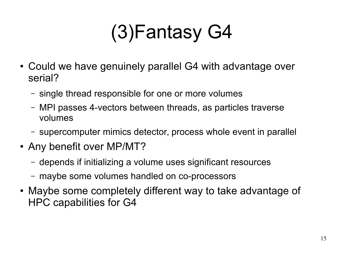## (3)Fantasy G4

- Could we have genuinely parallel G4 with advantage over serial?
	- single thread responsible for one or more volumes
	- MPI passes 4-vectors between threads, as particles traverse volumes
	- supercomputer mimics detector, process whole event in parallel
- Any benefit over MP/MT?
	- depends if initializing a volume uses significant resources
	- maybe some volumes handled on co-processors
- Maybe some completely different way to take advantage of HPC capabilities for G4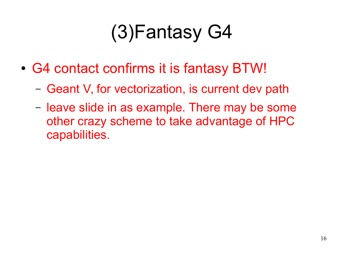## (3)Fantasy G4

- G4 contact confirms it is fantasy BTW!
	- Geant V, for vectorization, is current dev path
	- leave slide in as example. There may be some other crazy scheme to take advantage of HPC capabilities.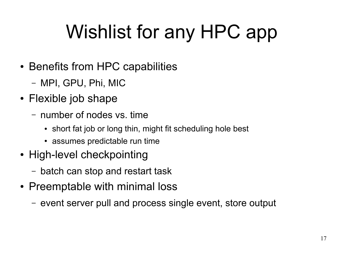## Wishlist for any HPC app

- Benefits from HPC capabilities
	- MPI, GPU, Phi, MIC
- Flexible job shape
	- number of nodes vs. time
		- short fat job or long thin, might fit scheduling hole best
		- assumes predictable run time
- High-level checkpointing
	- batch can stop and restart task
- Preemptable with minimal loss
	- event server pull and process single event, store output